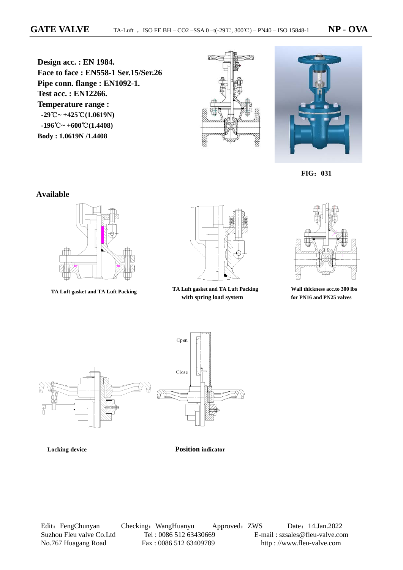**Design acc. : EN 1984. Face to face : EN558-1 Ser.15/Ser.26 Pipe conn. flange : EN1092-1. Test acc. : EN12266. Temperature range : -29**℃**~ +425**℃**(1.0619N) -196**℃**~ +600**℃**(1.4408) Body : 1.0619N /1.4408**





 **FIG**:**031**

#### **Available**





 **TA Luft gasket and TA Luft Packing TA Luft gasket and TA Luft Packing with spring load system**



**Wall thickness acc.to 300 lbs for PN16 and PN25 valves** 



 **Locking device Position indicator**

Edit: FengChunyan Checking: WangHuanyu Approved: ZWS Date: 14.Jan.2022 Suzhou Fleu valve Co.Ltd Tel : 0086 512 63430669 E-mail : szsales@fleu-valve.com<br>No.767 Huagang Road Fax : 0086 512 63409789 http : //www.fleu-valve.com No.767 Huagang Road Fax : 0086 512 63409789 http : //www.fleu-valve.com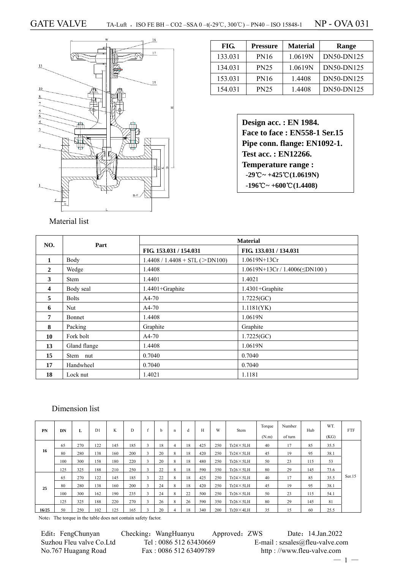

| FIG.    | Pressure    | <b>Material</b> | <b>Range</b> |
|---------|-------------|-----------------|--------------|
| 133.031 | <b>PN16</b> | 1.0619N         | DN50-DN125   |
| 134.031 | <b>PN25</b> | 1.0619N         | DN50-DN125   |
| 153.031 | <b>PN16</b> | 1.4408          | DN50-DN125   |
| 154.031 | <b>PN25</b> | 1.4408          | DN50-DN125   |

| Design acc.: EN 1984.                                             |
|-------------------------------------------------------------------|
| Face to face: EN558-1 Ser.15                                      |
| Pipe conn. flange: EN1092-1.                                      |
| <b>Test acc.: EN12266.</b>                                        |
| <b>Temperature range:</b>                                         |
| $-29^{\circ}\text{C} \sim +425^{\circ}\text{C} (1.0619 \text{N})$ |
| $-196^{\circ}\text{C} \sim +600^{\circ}\text{C} (1.4408)$         |

| NO.          | Part         | <b>Material</b>                             |                                     |  |  |  |  |
|--------------|--------------|---------------------------------------------|-------------------------------------|--|--|--|--|
|              |              | FIG. 153.031 / 154.031                      | FIG. 133.031 / 134.031              |  |  |  |  |
| 1            | Body         | $1.4408 / 1.4408 + \text{STL}$ ( $>$ DN100) | $1.0619N+13Cr$                      |  |  |  |  |
| $\mathbf{2}$ | Wedge        | 1.4408                                      | $1.0619N+13Cr / 1.4006(\leq DN100)$ |  |  |  |  |
| 3            | <b>Stem</b>  | 1.4401                                      | 1.4021                              |  |  |  |  |
| 4            | Body seal    | $1.4401 +$ Graphite                         | $1.4301 +$ Graphite                 |  |  |  |  |
| 5            | <b>Bolts</b> | $A4-70$                                     | 1.7225(GC)                          |  |  |  |  |
| 6            | <b>Nut</b>   | $A4-70$                                     | 1.1181(YK)                          |  |  |  |  |
| 7            | Bonnet       | 1.4408                                      | 1.0619N                             |  |  |  |  |
| 8            | Packing      | Graphite                                    | Graphite                            |  |  |  |  |
| 10           | Fork bolt    | $A4-70$                                     | 1.7225(GC)                          |  |  |  |  |
| 13           | Gland flange | 1.4408                                      | 1.0619N                             |  |  |  |  |
| 15           | Stem nut     | 0.7040                                      | 0.7040                              |  |  |  |  |
| 17           | Handwheel    | 0.7040                                      | 0.7040                              |  |  |  |  |
| 18           | Lock nut     | 1.4021                                      | 1.1181                              |  |  |  |  |

# Dimension list

| PN    | DN  | L   | D <sub>1</sub> | K   | D   | c  | h  | n | đ  | Н   | W   | Stem              | Torque | Number  | Hub | WT.  | <b>FTF</b> |
|-------|-----|-----|----------------|-----|-----|----|----|---|----|-----|-----|-------------------|--------|---------|-----|------|------------|
|       |     |     |                |     |     |    |    |   |    |     |     |                   | (N.m)  | of turn |     | (KG) |            |
|       | 65  | 270 | 122            | 145 | 185 |    | 18 | 4 | 18 | 425 | 250 | $Tr24 \times 5LH$ | 40     | 17      | 85  | 35.5 |            |
| 16    | 80  | 280 | 138            | 160 | 200 |    | 20 | 8 | 18 | 420 | 250 | $Tr24 \times 5LH$ | 45     | 19      | 95  | 38.1 |            |
|       | 100 | 300 | 158            | 180 | 220 |    | 20 | 8 | 18 | 480 | 250 | $Tr26 \times 5LH$ | 50     | 23      | 115 | 53   |            |
|       | 125 | 325 | 188            | 210 | 250 |    | 22 | 8 | 18 | 590 | 350 | $Tr26 \times 5LH$ | 80     | 29      | 145 | 73.6 |            |
|       | 65  | 270 | 122            | 145 | 185 |    | 22 | 8 | 18 | 425 | 250 | $Tr24 \times 5LH$ | 40     | 17      | 85  | 35.5 | Ser.15     |
| 25    | 80  | 280 | 138            | 160 | 200 | -5 | 24 | 8 | 18 | 420 | 250 | $Tr24 \times 5LH$ | 45     | 19      | 95  | 38.1 |            |
|       | 100 | 300 | 162            | 190 | 235 |    | 24 | 8 | 22 | 500 | 250 | $Tr26 \times 5LH$ | 50     | 23      | 115 | 54.1 |            |
|       | 125 | 325 | 188            | 220 | 270 |    | 26 | 8 | 26 | 590 | 350 | $Tr26 \times 5LH$ | 80     | 29      | 145 | 81   |            |
| 16/25 | 50  | 250 | 102            | 125 | 165 |    | 20 | 4 | 18 | 340 | 200 | $Tr20 \times 4LH$ | 35     | 15      | 60  | 25.5 |            |

Note: The torque in the table does not contain safety factor.

| Edit: FengChunyan        | Checking: WangHuanyu   | Approved: ZWS |                           | Date: 14.Jan.2022                 |  |
|--------------------------|------------------------|---------------|---------------------------|-----------------------------------|--|
| Suzhou Fleu valve Co.Ltd | Tel: 0086 512 63430669 |               |                           | E-mail: $szsales@$ fleu-valve.com |  |
| No.767 Huagang Road      | Fax: 0086 512 63409789 |               | http://www.fleu-valve.com |                                   |  |
|                          |                        |               |                           | $-1-$                             |  |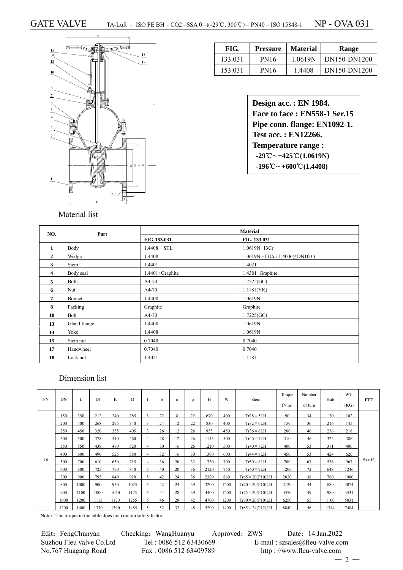

| FIG.    | <b>Pressure</b> | <b>Material</b> | Range        |
|---------|-----------------|-----------------|--------------|
| 133.031 | <b>PN16</b>     | 1.0619N         | DN150-DN1200 |
| 153.031 | PN16            | 1.4408          | DN150-DN1200 |

| Design acc.: EN 1984.                                           |
|-----------------------------------------------------------------|
| Face to face: EN558-1 Ser.15                                    |
| Pipe conn. flange: EN1092-1.                                    |
| Test acc.: EN12266.                                             |
| <b>Temperature range:</b>                                       |
| $-29^{\circ}\text{C} \sim +425^{\circ}\text{C}(1.0619\text{N})$ |
| $-196^{\circ}\text{C} \sim +600^{\circ}\text{C} (1.4408)$       |

| NO.            | Part         |                 | <b>Material</b>                       |  |  |  |  |  |
|----------------|--------------|-----------------|---------------------------------------|--|--|--|--|--|
|                |              | FIG. 153.031    | FIG. 133.031                          |  |  |  |  |  |
| $\mathbf{1}$   | Body         | $1.4408 + STL$  | 1.0619N+13Cr                          |  |  |  |  |  |
| $\overline{2}$ | Wedge        | 1.4408          | $1.0619N + 13Cr / 1.4006(\leq DN100)$ |  |  |  |  |  |
| 3              | Stem         | 1.4401          | 1.4021                                |  |  |  |  |  |
| 4              | Body seal    | 1.4401+Graphite | 1.4301+Graphite                       |  |  |  |  |  |
| 5              | <b>Bolts</b> | A4-70           | 1.7225(GC)                            |  |  |  |  |  |
| 6              | Nut          | A4-70           | 1.1181(YK)                            |  |  |  |  |  |
| 7              | Bonnet       | 1.4408          | 1.0619N                               |  |  |  |  |  |
| 8              | Packing      | Graphite        | Graphite                              |  |  |  |  |  |
| 10             | Bolt         | A4-70           | 1.7225(GC)                            |  |  |  |  |  |
| 13             | Gland flange | 1.4408          | 1.0619N                               |  |  |  |  |  |
| 14             | Yoke         | 1.4408          | 1.0619N                               |  |  |  |  |  |
| 15             | Stem nut     | 0.7040          | 0.7040                                |  |  |  |  |  |
| 17             | Handwheel    | 0.7040          | 0.7040                                |  |  |  |  |  |
| 18             | Lock nut     | 1.4021          | 1.1181                                |  |  |  |  |  |

# Dimension list

| <b>PN</b> | DN   | L    | D1   | K    | D    | f              | <sub>b</sub> | n  | Φ  | H    | W    | Stem                      | Torque<br>(N.m) | Number<br>of turn | Hub  | WT.<br>(KG) | <b>FTF</b>    |
|-----------|------|------|------|------|------|----------------|--------------|----|----|------|------|---------------------------|-----------------|-------------------|------|-------------|---------------|
|           | 150  | 350  | 212  | 240  | 285  | 3              | 22           | 8  | 22 | 670  | 400  | $Tr28 \times 5LH$         | 90              | 34                | 170  | 102         |               |
|           | 200  | 400  | 268  | 295  | 340  | 3              | 24           | 12 | 22 | 830  | 400  | $Tr32\times 6LH$          | 150             | 36                | 216  | 145         |               |
|           | 250  | 450  | 320  | 355  | 405  | $\mathbf{a}$   | 26           | 12 | 26 | 955  | 450  | $Tr36\times 6LH$          | 200             | 46                | 276  | 218         |               |
|           | 300  | 500  | 378  | 410  | 460  | $\overline{4}$ | 28           | 12 | 26 | 1145 | 500  | $Tr40 \times 7LH$         | 310             | 46                | 322  | 386         |               |
|           | 350  | 550  | 438  | 470  | 520  | $\overline{4}$ | 30           | 16 | 26 | 1210 | 500  | $Tr40 \times 7LH$         | 400             | 53                | 371  | 406         |               |
|           | 400  | 600  | 490  | 525  | 580  | 4              | 32           | 16 | 30 | 1390 | 600  | $Tr44\times 8LH$          | 450             | 53                | 424  | 620         |               |
| 16        | 500  | 700  | 610  | 650  | 715  | $\overline{4}$ | 36           | 20 | 33 | 1730 | 700  | $Tr50 \times 8LH$         | 700             | 67                | 536  | 967         | <b>Ser.15</b> |
|           | 600  | 800  | 725  | 770  | 840  | 5              | 40           | 20 | 36 | 2120 | 750  | $Tr60 \times 9LH$         | 1200            | 72                | 648  | 1246        |               |
|           | 700  | 900  | 795  | 840  | 910  | 5              | 42           | 24 | 36 | 2320 | 860  | $Tr65 \times 20 (P10) LH$ | 2020            | 38                | 760  | 1980        |               |
|           | 800  | 1000 | 900  | 950  | 1025 | $\leq$         | 42           | 24 | 39 | 3200 | 1200 | $Tr70 \times 20 (P10) LH$ | 3120            | 44                | 880  | 3074        |               |
|           | 900  | 1100 | 1000 | 1050 | 1125 | 5              | 44           | 28 | 39 | 4400 | 1200 | $Tr75 \times 20(P10) LH$  | 4570            | 49                | 980  | 3531        |               |
|           | 1000 | 1200 | 1115 | 1170 | 1255 | 5              | 46           | 28 | 42 | 4700 | 1200 | $Tr80 \times 20 (P10) LH$ | 6250            | 55                | 1100 | 5031        |               |
|           | 1200 | 1400 | 1330 | 1390 | 1485 |                | 52           | 32 | 48 | 5200 | 1400 | $Tr85 \times 24( P12)LH$  | 8840            | 56                | 1344 | 7484        |               |

Note: The torque in the table does not contain safety factor.

| Edit: FengChunyan        | Checking: WangHuanyu   | Approved: ZWS | Date: 14.Jan.2022                 |
|--------------------------|------------------------|---------------|-----------------------------------|
| Suzhou Fleu valve Co.Ltd | Tel: 0086 512 63430669 |               | E-mail: $szsales@$ fleu-valve.com |
| No.767 Huagang Road      | Fax: 0086 512 63409789 |               | http://www.fleu-valve.com         |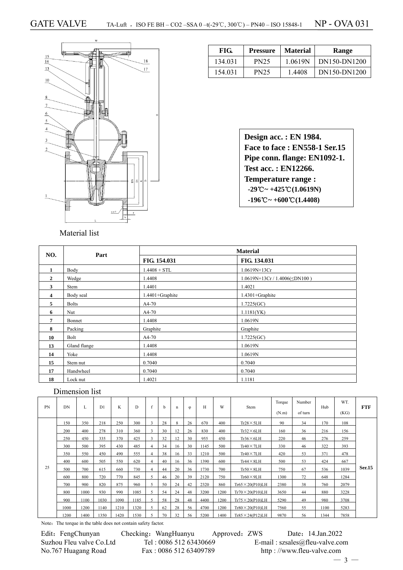

| FIG.    | <b>Pressure</b> | <b>Material</b> | Range        |
|---------|-----------------|-----------------|--------------|
| 134.031 | <b>PN25</b>     | 1.0619N         | DN150-DN1200 |
| 154.031 | <b>PN25</b>     | 1.4408          | DN150-DN1200 |

| Design acc. : EN 1984.                                            |
|-------------------------------------------------------------------|
| Face to face: EN558-1 Ser.15                                      |
| Pipe conn. flange: EN1092-1.                                      |
| <b>Test acc.: EN12266.</b>                                        |
| <b>Temperature range:</b>                                         |
| $-29^{\circ}\text{C} \sim +425^{\circ}\text{C} (1.0619 \text{N})$ |
| $-196^{\circ}\text{C} \sim +600^{\circ}\text{C} (1.4408)$         |

| NO.            | Part         |                 | <b>Material</b>              |
|----------------|--------------|-----------------|------------------------------|
|                |              | FIG. 154.031    | FIG. 134.031                 |
| 1              | Body         | $1.4408 + STL$  | 1.0619N+13Cr                 |
| $\overline{2}$ | Wedge        | 1.4408          | $1.0619N+13Cr/1.4006(5N100)$ |
| 3              | <b>Stem</b>  | 1.4401          | 1.4021                       |
| 4              | Body seal    | 1.4401+Graphite | $1.4301 +$ Graphite          |
| 5              | <b>Bolts</b> | $A4-70$         | 1.7225(GC)                   |
| 6              | Nut          | A4-70           | 1.1181(YK)                   |
| 7              | Bonnet       | 1.4408          | 1.0619N                      |
| 8              | Packing      | Graphite        | Graphite                     |
| 10             | Bolt         | A4-70           | 1.7225(GC)                   |
| 13             | Gland flange | 1.4408          | 1.0619N                      |
| 14             | Yoke         | 1.4408          | 1.0619N                      |
| 15             | Stem nut     | 0.7040          | 0.7040                       |
| 17             | Handwheel    | 0.7040          | 0.7040                       |
| 18             | Lock nut     | 1.4021          | 1.1181                       |

## Dimension list

| PN | DN   | L    | D1   | K    | D    |                | h  | n  | Φ  | Н    | W    | Stem                      | Torque<br>(N.m) | Number<br>of turn | Hub  | WT.<br>(KG) | <b>FTF</b>    |
|----|------|------|------|------|------|----------------|----|----|----|------|------|---------------------------|-----------------|-------------------|------|-------------|---------------|
|    | 150  | 350  | 218  | 250  | 300  | 3              | 28 | 8  | 26 | 670  | 400  | $Tr28 \times 5LH$         | 90              | 34                | 170  | 108         |               |
|    | 200  | 400  | 278  | 310  | 360  | 3              | 30 | 12 | 26 | 830  | 400  | $Tr32\times 6LH$          | 160             | 36                | 216  | 156         |               |
|    | 250  | 450  | 335  | 370  | 425  | 3              | 32 | 12 | 30 | 955  | 450  | $Tr36 \times 6LH$         | 220             | 46                | 276  | 259         |               |
|    | 300  | 500  | 395  | 430  | 485  | 4              | 34 | 16 | 30 | 1145 | 500  | $Tr40 \times 7LH$         | 330             | 46                | 322  | 393         |               |
|    | 350  | 550  | 450  | 490  | 555  | $\overline{4}$ | 38 | 16 | 33 | 1210 | 500  | $Tr40 \times 7LH$         | 420             | 53                | 371  | 478         |               |
|    | 400  | 600  | 505  | 550  | 620  | $\overline{4}$ | 40 | 16 | 36 | 1390 | 600  | $Tr44 \times 8LH$         | 500             | 53                | 424  | 667         |               |
| 25 | 500  | 700  | 615  | 660  | 730  | 4              | 44 | 20 | 36 | 1730 | 700  | $Tr50 \times 8LH$         | 750             | 67                | 536  | 1039        | <b>Ser.15</b> |
|    | 600  | 800  | 720  | 770  | 845  | 5              | 46 | 20 | 39 | 2120 | 750  | $Tr60 \times 9LH$         | 1300            | 72                | 648  | 1284        |               |
|    | 700  | 900  | 820  | 875  | 960  | 5              | 50 | 24 | 42 | 2320 | 860  | $Tr65 \times 20$ (P10)LH  | 2380            | 38                | 760  | 2079        |               |
|    | 800  | 1000 | 930  | 990  | 1085 | 5              | 54 | 24 | 48 | 3200 | 1200 | $Tr70 \times 20($ P10)LH  | 3650            | 44                | 880  | 3228        |               |
|    | 900  | 1100 | 1030 | 1090 | 1185 | 5              | 58 | 28 | 48 | 4400 | 1200 | $Tr75 \times 20($ P10)LH  | 5290            | 49                | 980  | 3708        |               |
|    | 1000 | 1200 | 1140 | 1210 | 1320 | 5              | 62 | 28 | 56 | 4700 | 1200 | $Tr80 \times 20 (P10) LH$ | 7560            | 55                | 1100 | 5283        |               |
|    | 1200 | 1400 | 1350 | 1420 | 1530 | 5.             | 70 | 32 | 56 | 5200 | 1400 | $Tr85 \times 24($ P12)LH  | 9870            | 56                | 1344 | 7858        |               |

Note: The torque in the table does not contain safety factor.

| Edit: FengChunyan        | Checking: WangHuanyu   | Approved |
|--------------------------|------------------------|----------|
| Suzhou Fleu valve Co.Ltd | Tel: 0086 512 63430669 |          |
| No.767 Huagang Road      | Fax: 0086 512 63409789 |          |

 $\text{E}$ : ZWS Date: 14.Jan.2022  $E$ -mail : szsales@fleu-valve.com http : //www.fleu-valve.com

 $-3 -$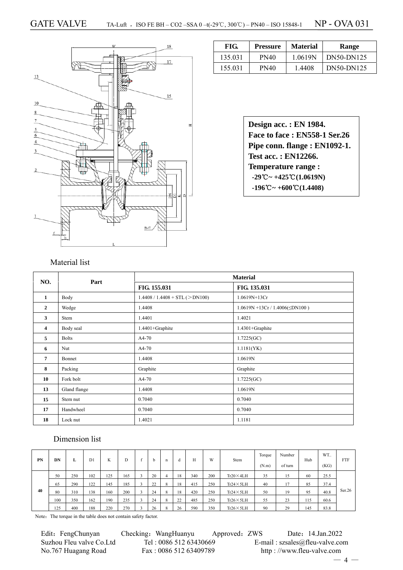

| FIG.    | <b>Pressure</b> | <b>Material</b> | Range      |
|---------|-----------------|-----------------|------------|
| 135.031 | PN40            | 1.0619N         | DN50-DN125 |
| 155.031 | PN40            | 1.4408          | DN50-DN125 |

**Design acc. : EN 1984. Face to face : EN558-1 Ser.26 Pipe conn. flange : EN1092-1. Test acc. : EN12266. Temperature range : -29**℃**~ +425**℃**(1.0619N) -196**℃**~ +600**℃**(1.4408)** 

#### Material list

| NO.            | Part         |                                  | <b>Material</b>                       |  |  |  |
|----------------|--------------|----------------------------------|---------------------------------------|--|--|--|
|                |              | FIG. 155.031                     | FIG. 135.031                          |  |  |  |
| $\mathbf{1}$   | Body         | $1.4408 / 1.4408 + STL (>DN100)$ | 1.0619N+13Cr                          |  |  |  |
| $\overline{2}$ | Wedge        | 1.4408                           | $1.0619N + 13Cr / 1.4006(\leq DN100)$ |  |  |  |
| 3              | Stem         | 1.4401                           | 1.4021                                |  |  |  |
| 4              | Body seal    | 1.4401+Graphite                  | 1.4301+Graphite                       |  |  |  |
| 5              | <b>Bolts</b> | $A4-70$                          | 1.7225(GC)                            |  |  |  |
| 6              | Nut          | A4-70                            | 1.1181(YK)                            |  |  |  |
| 7              | Bonnet       | 1.4408                           | 1.0619N                               |  |  |  |
| 8              | Packing      | Graphite                         | Graphite                              |  |  |  |
| 10             | Fork bolt    | A4-70                            | 1.7225(GC)                            |  |  |  |
| 13             | Gland flange | 1.4408                           | 1.0619N                               |  |  |  |
| 15             | Stem nut     | 0.7040                           | 0.7040                                |  |  |  |
| 17             | Handwheel    | 0.7040                           | 0.7040                                |  |  |  |
| 18             | Lock nut     | 1.4021                           | 1.1181                                |  |  |  |

### Dimension list

| PN | DN  | L   | D1  | K   |     | b  | n            | d  | H   | W   | Stem              | Torque<br>(N.m) | Number<br>of turn | Hub | WT.<br>(KG) | FTF    |
|----|-----|-----|-----|-----|-----|----|--------------|----|-----|-----|-------------------|-----------------|-------------------|-----|-------------|--------|
|    | 50  | 250 | 102 | 125 | 165 | 20 |              | 18 | 340 | 200 | $Tr20 \times 4LH$ | 35              | 15                | 60  | 25.5        |        |
|    | 65  | 290 | 122 | 145 | 185 | 22 | 8            | 18 | 415 | 250 | $Tr24 \times 5LH$ | 40              |                   | 85  | 37.4        |        |
| 40 | 80  | 310 | 138 | 160 | 200 | 24 | 8            | 18 | 420 | 250 | $Tr24 \times 5LH$ | 50              | 19                | 95  | 40.8        | Ser.26 |
|    | 100 | 350 | 162 | 190 | 235 | 24 | 8            | 22 | 485 | 250 | $Tr26 \times 5LH$ | 55              | 23                | 115 | 60.6        |        |
|    | 125 | 400 | 188 | 220 | 270 | 26 | $\mathbf{R}$ | 26 | 590 | 350 | $Tr26 \times 5LH$ | 90              | 29                | 145 | 83.8        |        |

Note: The torque in the table does not contain safety factor.

Edit: FengChunyan Checking: WangHuanyu Approved: ZWS Date: 14.Jan.2022 Suzhou Fleu valve Co.Ltd Tel : 0086 512 63430669 E-mail : szsales@fleu-valve.com<br>No.767 Huagang Road Fax : 0086 512 63409789 http : //www.fleu-valve.com

http : //www.fleu-valve.com

 $-4-$